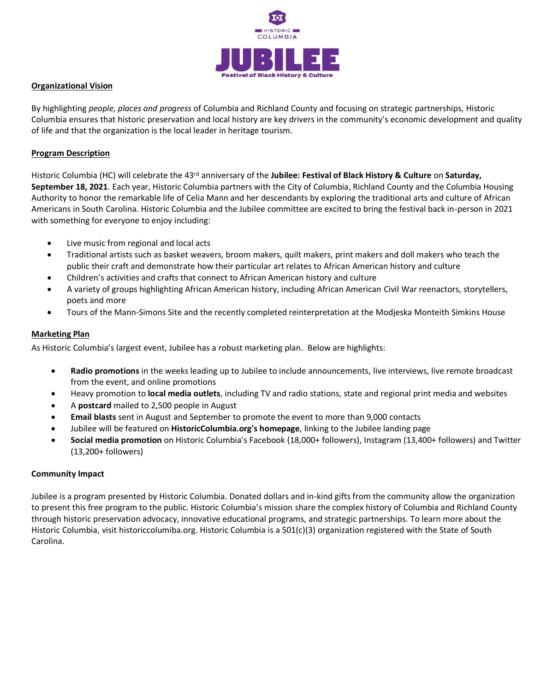

## **Organizational Vision**

By highlighting *people, places and progress* of Columbia and Richland County and focusing on strategic partnerships, Historic Columbia ensures that historic preservation and local history are key drivers in the community's economic development and quality of life and that the organization is the local leader in heritage tourism.

## **Program Description**

Historic Columbia (HC) will celebrate the 43<sup>rd</sup> anniversary of the **Jubilee: Festival of Black History & Culture** on Saturday, **September 18, 2021**. Each year, Historic Columbia partners with the City of Columbia, Richland County and the Columbia Housing Authority to honor the remarkable life of Celia Mann and her descendants by exploring the traditional arts and culture of African Americans in South Carolina. Historic Columbia and the Jubilee committee are excited to bring the festival back in-person in 2021 with something for everyone to enjoy including:

- Live music from regional and local acts
- Traditional artists such as basket weavers, broom makers, quilt makers, print makers and doll makers who teach the public their craft and demonstrate how their particular art relates to African American history and culture
- Children's activities and crafts that connect to African American history and culture
- A variety of groups highlighting African American history, including African American Civil War reenactors, storytellers, poets and more
- Tours of the Mann-Simons Site and the recently completed reinterpretation at the Modjeska Monteith Simkins House

# **Marketing Plan**

As Historic Columbia's largest event, Jubilee has a robust marketing plan. Below are highlights:

- **Radio promotions** in the weeks leading up to Jubilee to include announcements, live interviews, live remote broadcast from the event, and online promotions
- Heavy promotion to **local media outlets**, including TV and radio stations, state and regional print media and websites
- A **postcard** mailed to 2,500 people in August
- **Email blasts** sent in August and September to promote the event to more than 9,000 contacts
- Jubilee will be featured on **HistoricColumbia.org's homepage**, linking to the Jubilee landing page
- **Social media promotion** on Historic Columbia's Facebook (18,000+ followers), Instagram (13,400+ followers) and Twitter (13,200+ followers)

# **Community Impact**

Jubilee is a program presented by Historic Columbia. Donated dollars and in-kind gifts from the community allow the organization to present this free program to the public. Historic Columbia's mission share the complex history of Columbia and Richland County through historic preservation advocacy, innovative educational programs, and strategic partnerships. To learn more about the Historic Columbia, visit historiccolumiba.org. Historic Columbia is a 501(c)(3) organization registered with the State of South Carolina.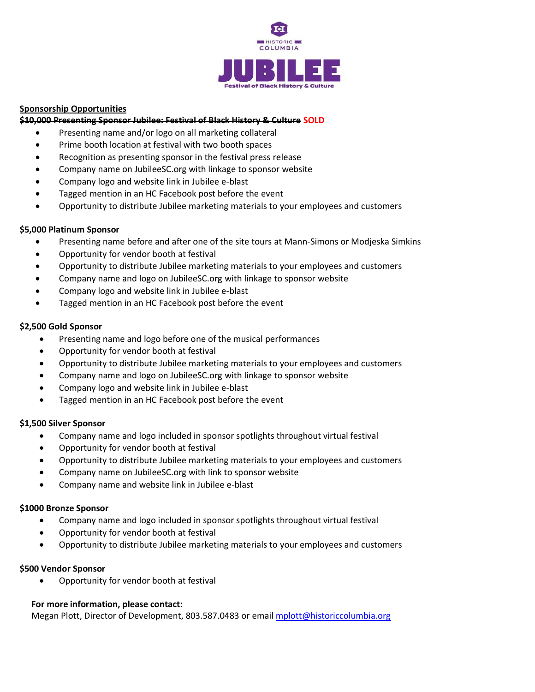

# **Sponsorship Opportunities**

### **\$10,000 Presenting Sponsor Jubilee: Festival of Black History & Culture SOLD**

- Presenting name and/or logo on all marketing collateral
- Prime booth location at festival with two booth spaces
- Recognition as presenting sponsor in the festival press release
- Company name on JubileeSC.org with linkage to sponsor website
- Company logo and website link in Jubilee e-blast
- Tagged mention in an HC Facebook post before the event
- Opportunity to distribute Jubilee marketing materials to your employees and customers

## **\$5,000 Platinum Sponsor**

- Presenting name before and after one of the site tours at Mann-Simons or Modjeska Simkins
- Opportunity for vendor booth at festival
- Opportunity to distribute Jubilee marketing materials to your employees and customers
- Company name and logo on JubileeSC.org with linkage to sponsor website
- Company logo and website link in Jubilee e-blast
- Tagged mention in an HC Facebook post before the event

## **\$2,500 Gold Sponsor**

- Presenting name and logo before one of the musical performances
- Opportunity for vendor booth at festival
- Opportunity to distribute Jubilee marketing materials to your employees and customers
- Company name and logo on JubileeSC.org with linkage to sponsor website
- Company logo and website link in Jubilee e-blast
- Tagged mention in an HC Facebook post before the event

### **\$1,500 Silver Sponsor**

- Company name and logo included in sponsor spotlights throughout virtual festival
- Opportunity for vendor booth at festival
- Opportunity to distribute Jubilee marketing materials to your employees and customers
- Company name on JubileeSC.org with link to sponsor website
- Company name and website link in Jubilee e-blast

### **\$1000 Bronze Sponsor**

- Company name and logo included in sponsor spotlights throughout virtual festival
- Opportunity for vendor booth at festival
- Opportunity to distribute Jubilee marketing materials to your employees and customers

### **\$500 Vendor Sponsor**

• Opportunity for vendor booth at festival

### **For more information, please contact:**

Megan Plott, Director of Development, 803.587.0483 or emai[l mplott@historiccolumbia.org](mailto:wspratt@historiccolumbia.org)